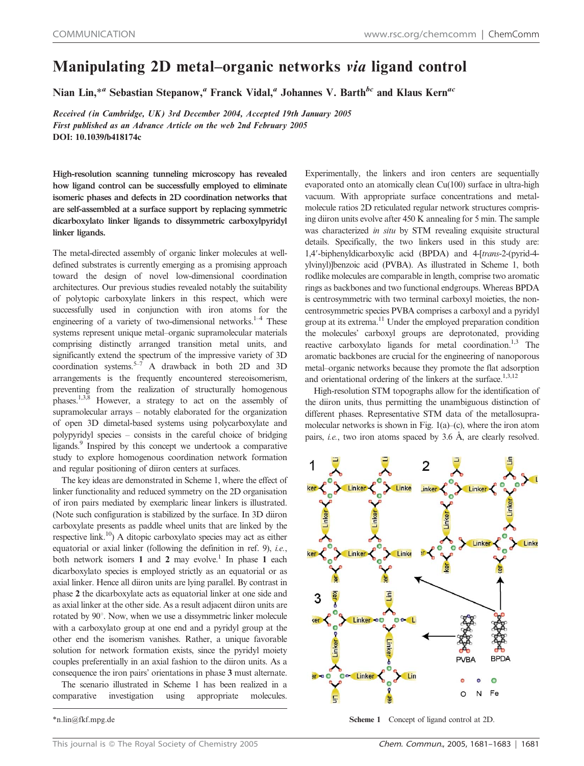## Manipulating 2D metal–organic networks via ligand control

Nian Lin,<sup>\*a</sup> Sebastian Stepanow,<sup>a</sup> Franck Vidal,<sup>a</sup> Johannes V. Barth<sup>bc</sup> and Klaus Kern<sup>ac</sup>

Received (in Cambridge, UK) 3rd December 2004, Accepted 19th January 2005 First published as an Advance Article on the web 2nd February 2005 DOI: 10.1039/b418174c

High-resolution scanning tunneling microscopy has revealed how ligand control can be successfully employed to eliminate isomeric phases and defects in 2D coordination networks that are self-assembled at a surface support by replacing symmetric dicarboxylato linker ligands to dissymmetric carboxylpyridyl linker ligands.

The metal-directed assembly of organic linker molecules at welldefined substrates is currently emerging as a promising approach toward the design of novel low-dimensional coordination architectures. Our previous studies revealed notably the suitability of polytopic carboxylate linkers in this respect, which were successfully used in conjunction with iron atoms for the engineering of a variety of two-dimensional networks. $1-4$  These systems represent unique metal–organic supramolecular materials comprising distinctly arranged transition metal units, and significantly extend the spectrum of the impressive variety of 3D coordination systems.<sup>5–7</sup> A drawback in both 2D and 3D arrangements is the frequently encountered stereoisomerism, preventing from the realization of structurally homogenous phases.<sup>1,3,8</sup> However, a strategy to act on the assembly of supramolecular arrays – notably elaborated for the organization of open 3D dimetal-based systems using polycarboxylate and polypyridyl species – consists in the careful choice of bridging ligands.9 Inspired by this concept we undertook a comparative study to explore homogenous coordination network formation and regular positioning of diiron centers at surfaces.

The key ideas are demonstrated in Scheme 1, where the effect of linker functionality and reduced symmetry on the 2D organisation of iron pairs mediated by exemplaric linear linkers is illustrated. (Note such configuration is stabilized by the surface. In 3D diiron carboxylate presents as paddle wheel units that are linked by the respective link.10) A ditopic carboxylato species may act as either equatorial or axial linker (following the definition in ref. 9), *i.e.*, both network isomers 1 and 2 may evolve.<sup>1</sup> In phase 1 each dicarboxylato species is employed strictly as an equatorial or as axial linker. Hence all diiron units are lying parallel. By contrast in phase 2 the dicarboxylate acts as equatorial linker at one side and as axial linker at the other side. As a result adjacent diiron units are rotated by  $90^\circ$ . Now, when we use a dissymmetric linker molecule with a carboxylato group at one end and a pyridyl group at the other end the isomerism vanishes. Rather, a unique favorable solution for network formation exists, since the pyridyl moiety couples preferentially in an axial fashion to the diiron units. As a consequence the iron pairs' orientations in phase 3 must alternate. The scenario illustrated in Scheme 1 has been realized in a

comparative investigation using appropriate molecules.

Experimentally, the linkers and iron centers are sequentially evaporated onto an atomically clean Cu(100) surface in ultra-high vacuum. With appropriate surface concentrations and metalmolecule ratios 2D reticulated regular network structures comprising diiron units evolve after 450 K annealing for 5 min. The sample was characterized in situ by STM revealing exquisite structural details. Specifically, the two linkers used in this study are: 1,4'-biphenyldicarboxylic acid (BPDA) and 4-[trans-2-(pyrid-4ylvinyl)]benzoic acid (PVBA). As illustrated in Scheme 1, both rodlike molecules are comparable in length, comprise two aromatic rings as backbones and two functional endgroups. Whereas BPDA is centrosymmetric with two terminal carboxyl moieties, the noncentrosymmetric species PVBA comprises a carboxyl and a pyridyl group at its extrema.11 Under the employed preparation condition the molecules' carboxyl groups are deprotonated, providing reactive carboxylato ligands for metal coordination.<sup>1,3</sup> The aromatic backbones are crucial for the engineering of nanoporous metal–organic networks because they promote the flat adsorption and orientational ordering of the linkers at the surface.<sup>1,3,12</sup>

High-resolution STM topographs allow for the identification of the diiron units, thus permitting the unambiguous distinction of different phases. Representative STM data of the metallosupramolecular networks is shown in Fig. 1(a)–(c), where the iron atom pairs, *i.e.*, two iron atoms spaced by  $3.6$  Å, are clearly resolved.



\*n.lin@fkf.mpg.de Scheme 1 Concept of ligand control at 2D.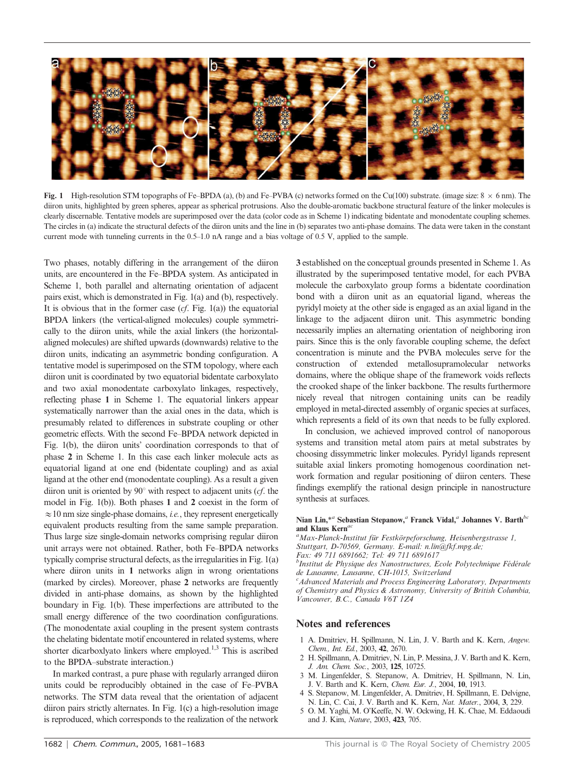

Fig. 1 High-resolution STM topographs of Fe–BPDA (a), (b) and Fe–PVBA (c) networks formed on the Cu(100) substrate. (image size:  $8 \times 6$  nm). The diiron units, highlighted by green spheres, appear as spherical protrusions. Also the double-aromatic backbone structural feature of the linker molecules is clearly discernable. Tentative models are superimposed over the data (color code as in Scheme 1) indicating bidentate and monodentate coupling schemes. The circles in (a) indicate the structural defects of the diiron units and the line in (b) separates two anti-phase domains. The data were taken in the constant current mode with tunneling currents in the 0.5–1.0 nA range and a bias voltage of 0.5 V, applied to the sample.

Two phases, notably differing in the arrangement of the diiron units, are encountered in the Fe–BPDA system. As anticipated in Scheme 1, both parallel and alternating orientation of adjacent pairs exist, which is demonstrated in Fig. 1(a) and (b), respectively. It is obvious that in the former case  $(cf. Fig. 1(a))$  the equatorial BPDA linkers (the vertical-aligned molecules) couple symmetrically to the diiron units, while the axial linkers (the horizontalaligned molecules) are shifted upwards (downwards) relative to the diiron units, indicating an asymmetric bonding configuration. A tentative model is superimposed on the STM topology, where each diiron unit is coordinated by two equatorial bidentate carboxylato and two axial monodentate carboxylato linkages, respectively, reflecting phase 1 in Scheme 1. The equatorial linkers appear systematically narrower than the axial ones in the data, which is presumably related to differences in substrate coupling or other geometric effects. With the second Fe–BPDA network depicted in Fig. 1(b), the diiron units' coordination corresponds to that of phase 2 in Scheme 1. In this case each linker molecule acts as equatorial ligand at one end (bidentate coupling) and as axial ligand at the other end (monodentate coupling). As a result a given diiron unit is oriented by  $90^\circ$  with respect to adjacent units (*cf.* the model in Fig. 1(b)). Both phases 1 and 2 coexist in the form of  $\approx$  10 nm size single-phase domains, *i.e.*, they represent energetically equivalent products resulting from the same sample preparation. Thus large size single-domain networks comprising regular diiron unit arrays were not obtained. Rather, both Fe–BPDA networks typically comprise structural defects, as the irregularities in Fig. 1(a) where diiron units in 1 networks align in wrong orientations (marked by circles). Moreover, phase 2 networks are frequently divided in anti-phase domains, as shown by the highlighted boundary in Fig. 1(b). These imperfections are attributed to the small energy difference of the two coordination configurations. (The monodentate axial coupling in the present system contrasts the chelating bidentate motif encountered in related systems, where shorter dicarboxlyato linkers where employed.<sup>1,3</sup> This is ascribed to the BPDA–substrate interaction.)

In marked contrast, a pure phase with regularly arranged diiron units could be reproducibly obtained in the case of Fe–PVBA networks. The STM data reveal that the orientation of adjacent diiron pairs strictly alternates. In Fig. 1(c) a high-resolution image is reproduced, which corresponds to the realization of the network 3 established on the conceptual grounds presented in Scheme 1. As illustrated by the superimposed tentative model, for each PVBA molecule the carboxylato group forms a bidentate coordination bond with a diiron unit as an equatorial ligand, whereas the pyridyl moiety at the other side is engaged as an axial ligand in the linkage to the adjacent diiron unit. This asymmetric bonding necessarily implies an alternating orientation of neighboring iron pairs. Since this is the only favorable coupling scheme, the defect concentration is minute and the PVBA molecules serve for the construction of extended metallosupramolecular networks domains, where the oblique shape of the framework voids reflects the crooked shape of the linker backbone. The results furthermore nicely reveal that nitrogen containing units can be readily employed in metal-directed assembly of organic species at surfaces, which represents a field of its own that needs to be fully explored.

In conclusion, we achieved improved control of nanoporous systems and transition metal atom pairs at metal substrates by choosing dissymmetric linker molecules. Pyridyl ligands represent suitable axial linkers promoting homogenous coordination network formation and regular positioning of diiron centers. These findings exemplify the rational design principle in nanostructure synthesis at surfaces.

## Nian Lin,\*a Sebastian Stepanow, $\alpha$  Franck Vidal, $\alpha$  Johannes V. Barth $\alpha$ and Klaus Kern<sup>ac</sup>

<sup>a</sup>Max-Planck-Institut für Festkörpeforschung, Heisenbergstrasse 1, Stuttgart, D-70569, Germany. E-mail: n.lin@fkf.mpg.de;

Fax: 49 711 6891662; Tel: 49 711 6891617

<sup>b</sup>Institut de Physique des Nanostructures, Ecole Polytechnique Fédérale de Lausanne, Lausanne, CH-1015, Switzerland

<sup>c</sup> Advanced Materials and Process Engineering Laboratory, Departments of Chemistry and Physics & Astronomy, University of British Columbia, Vancouver, B.C., Canada V6T 1Z4

## Notes and references

- 1 A. Dmitriev, H. Spillmann, N. Lin, J. V. Barth and K. Kern, Angew. Chem., Int. Ed., 2003, 42, 2670.
- 2 H. Spillmann, A. Dmitriev, N. Lin, P. Messina, J. V. Barth and K. Kern, J. Am. Chem. Soc., 2003, 125, 10725.
- 3 M. Lingenfelder, S. Stepanow, A. Dmitriev, H. Spillmann, N. Lin, J. V. Barth and K. Kern, Chem. Eur. J., 2004, 10, 1913.
- 4 S. Stepanow, M. Lingenfelder, A. Dmitriev, H. Spillmann, E. Delvigne, N. Lin, C. Cai, J. V. Barth and K. Kern, Nat. Mater., 2004, 3, 229.
- 5 O. M. Yaghi, M. O'Keeffe, N. W. Ockwing, H. K. Chae, M. Eddaoudi and J. Kim, Nature, 2003, 423, 705.